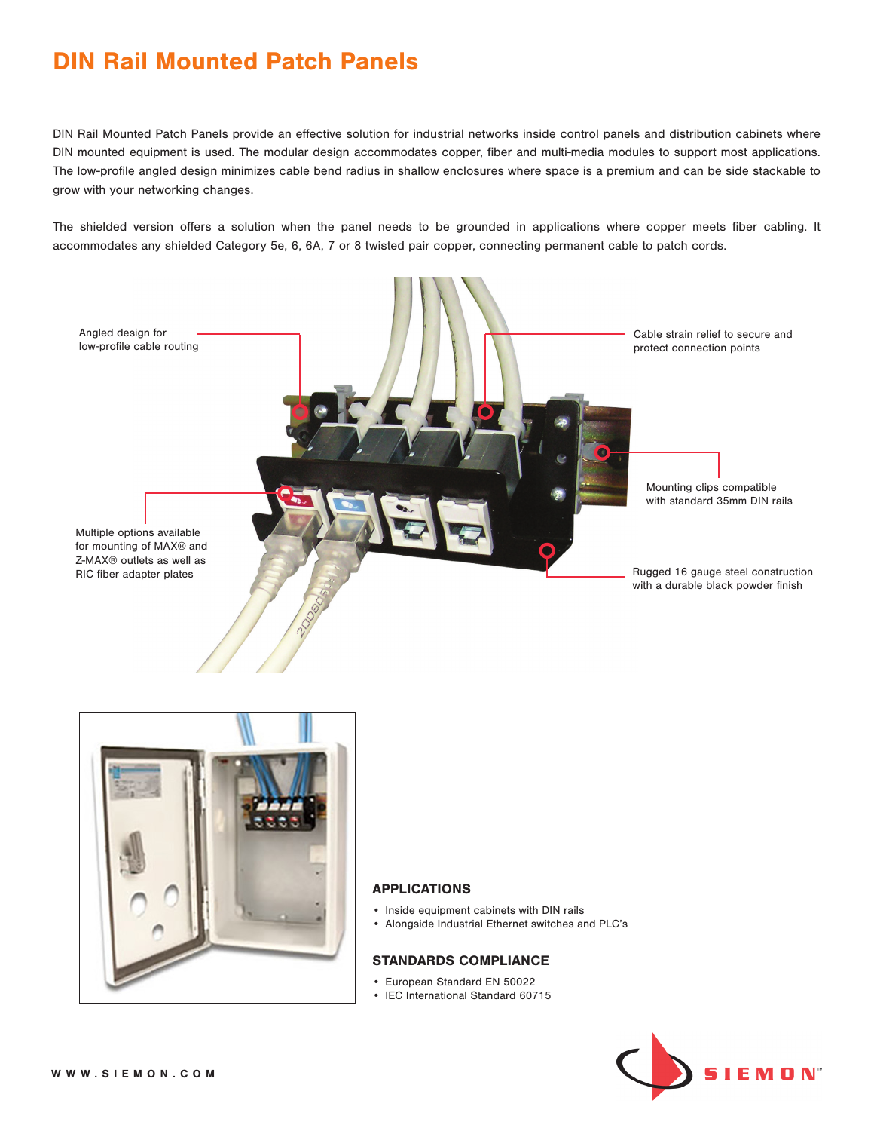# DIN Rail Mounted Patch Panels

DIN Rail Mounted Patch Panels provide an effective solution for industrial networks inside control panels and distribution cabinets where DIN mounted equipment is used. The modular design accommodates copper, fiber and multi-media modules to support most applications. The low-profile angled design minimizes cable bend radius in shallow enclosures where space is a premium and can be side stackable to grow with your networking changes.

The shielded version offers a solution when the panel needs to be grounded in applications where copper meets fiber cabling. It accommodates any shielded Category 5e, 6, 6A, 7 or 8 twisted pair copper, connecting permanent cable to patch cords.





#### APPLICATIONS

- Inside equipment cabinets with DIN rails
- Alongside Industrial Ethernet switches and PLC's

#### STANDARDS COMPLIANCE

- European Standard EN 50022
- IEC International Standard 60715